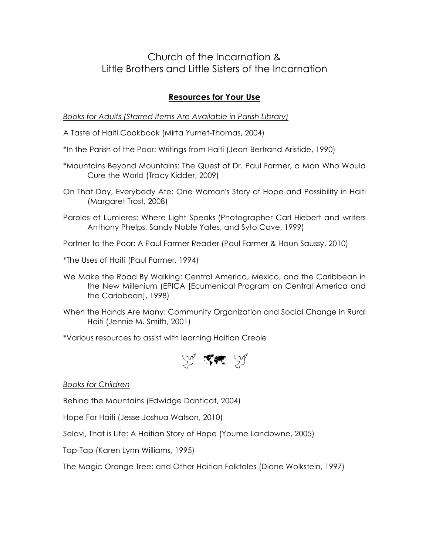## Church of the Incarnation & Little Brothers and Little Sisters of the Incarnation

## **Resources for Your Use**

*Books for Adults (Starred Items Are Available in Parish Library)*

A Taste of Haiti Cookbook (Mirta Yurnet-Thomas, 2004)

\*In the Parish of the Poor: Writings from Haiti (Jean-Bertrand Aristide, 1990)

- \*Mountains Beyond Mountains: The Quest of Dr. Paul Farmer, a Man Who Would Cure the World (Tracy Kidder, 2009)
- On That Day, Everybody Ate: One Woman's Story of Hope and Possibility in Haiti (Margaret Trost, 2008)
- Paroles et Lumieres: Where Light Speaks (Photographer Carl Hiebert and writers Anthony Phelps, Sandy Noble Yates, and Syto Cave, 1999)
- Partner to the Poor: A Paul Farmer Reader (Paul Farmer & Haun Saussy, 2010)
- \*The Uses of Haiti (Paul Farmer, 1994)
- We Make the Road By Walking: Central America, Mexico, and the Caribbean in the New Millenium (EPICA [Ecumenical Program on Central America and the Caribbean], 1998)
- When the Hands Are Many: Community Organization and Social Change in Rural Haiti (Jennie M. Smith, 2001)

\*Various resources to assist with learning Haitian Creole



*Books for Children*

Behind the Mountains (Edwidge Danticat, 2004)

Hope For Haiti (Jesse Joshua Watson, 2010)

Selavi, That is Life: A Haitian Story of Hope (Youme Landowne, 2005)

Tap-Tap (Karen Lynn Williams, 1995)

The Magic Orange Tree: and Other Haitian Folktales (Diane Wolkstein, 1997)